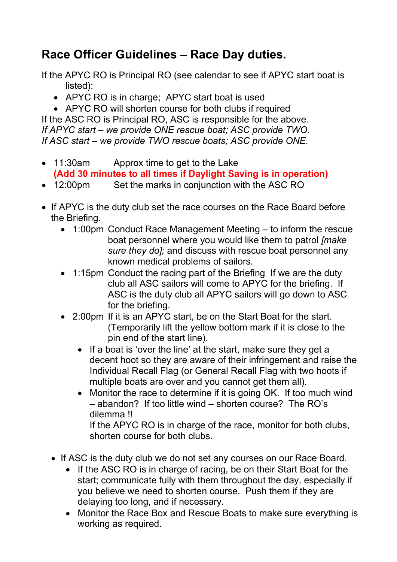## **Race Officer Guidelines – Race Day duties.**

If the APYC RO is Principal RO (see calendar to see if APYC start boat is listed):

- APYC RO is in charge; APYC start boat is used
- APYC RO will shorten course for both clubs if required

If the ASC RO is Principal RO, ASC is responsible for the above. *If APYC start – we provide ONE rescue boat; ASC provide TWO. If ASC start – we provide TWO rescue boats; ASC provide ONE.*

- 11:30am Approx time to get to the Lake **(Add 30 minutes to all times if Daylight Saving is in operation)**
- 12:00pm Set the marks in conjunction with the ASC RO
- If APYC is the duty club set the race courses on the Race Board before the Briefing.
	- 1:00pm Conduct Race Management Meeting to inform the rescue boat personnel where you would like them to patrol *[make sure they do];* and discuss with rescue boat personnel any known medical problems of sailors.
	- 1:15pm Conduct the racing part of the Briefing If we are the duty club all ASC sailors will come to APYC for the briefing. If ASC is the duty club all APYC sailors will go down to ASC for the briefing.
	- 2:00pm If it is an APYC start, be on the Start Boat for the start. (Temporarily lift the yellow bottom mark if it is close to the pin end of the start line).
		- If a boat is 'over the line' at the start, make sure they get a decent hoot so they are aware of their infringement and raise the Individual Recall Flag (or General Recall Flag with two hoots if multiple boats are over and you cannot get them all).
		- Monitor the race to determine if it is going OK. If too much wind – abandon? If too little wind – shorten course? The RO's dilemma !!

If the APYC RO is in charge of the race, monitor for both clubs, shorten course for both clubs.

- If ASC is the duty club we do not set any courses on our Race Board.
	- If the ASC RO is in charge of racing, be on their Start Boat for the start; communicate fully with them throughout the day, especially if you believe we need to shorten course. Push them if they are delaying too long, and if necessary.
	- Monitor the Race Box and Rescue Boats to make sure everything is working as required.